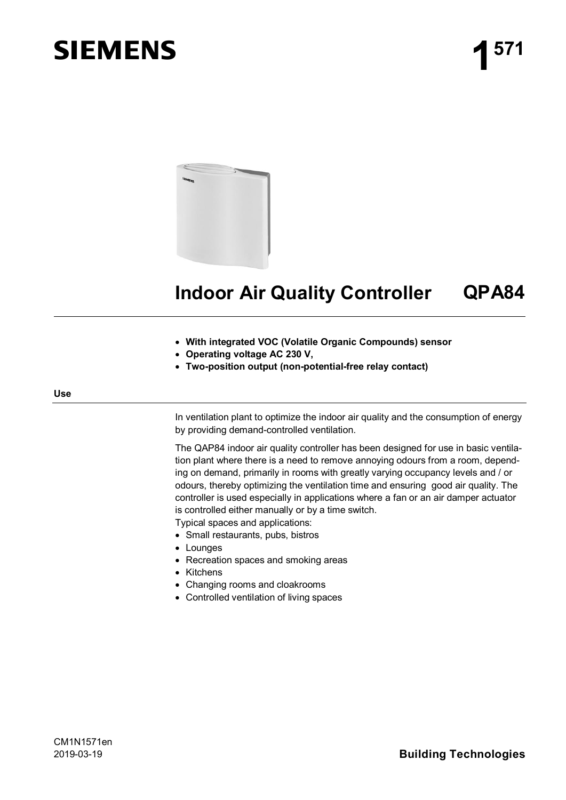# **SIEMENS**



# **Indoor Air Quality Controller QPA84**

- · **With integrated VOC (Volatile Organic Compounds) sensor**
- · **Operating voltage AC 230 V,**
- · **Two-position output (non-potential-free relay contact)**

#### **Use**

In ventilation plant to optimize the indoor air quality and the consumption of energy by providing demand-controlled ventilation.

The QAP84 indoor air quality controller has been designed for use in basic ventilation plant where there is a need to remove annoying odours from a room, depending on demand, primarily in rooms with greatly varying occupancy levels and / or odours, thereby optimizing the ventilation time and ensuring good air quality. The controller is used especially in applications where a fan or an air damper actuator is controlled either manually or by a time switch.

Typical spaces and applications:

- · Small restaurants, pubs, bistros
- · Lounges
- · Recreation spaces and smoking areas
- · Kitchens
- · Changing rooms and cloakrooms
- · Controlled ventilation of living spaces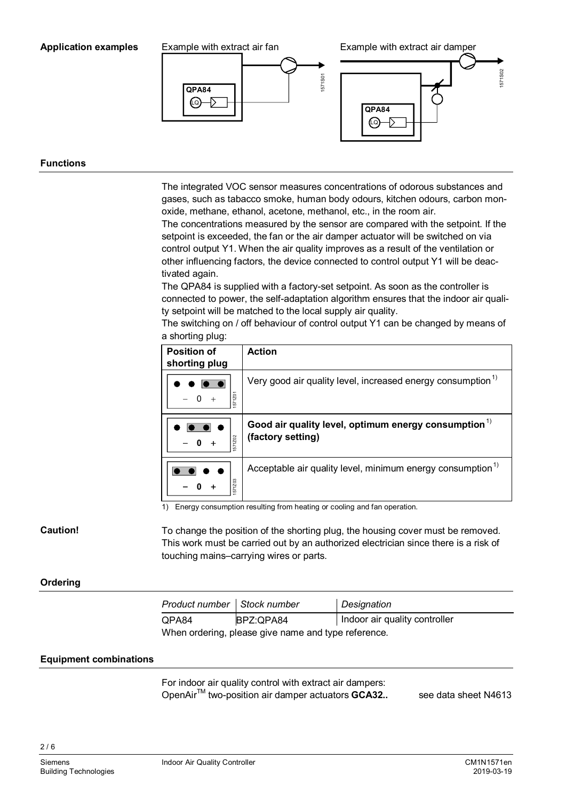#### **Application examples**



#### **Functions**

The integrated VOC sensor measures concentrations of odorous substances and gases, such as tabacco smoke, human body odours, kitchen odours, carbon monoxide, methane, ethanol, acetone, methanol, etc., in the room air.

The concentrations measured by the sensor are compared with the setpoint. If the setpoint is exceeded, the fan or the air damper actuator will be switched on via control output Y1. When the air quality improves as a result of the ventilation or other influencing factors, the device connected to control output Y1 will be deactivated again.

The QPA84 is supplied with a factory-set setpoint. As soon as the controller is connected to power, the self-adaptation algorithm ensures that the indoor air quality setpoint will be matched to the local supply air quality.

The switching on / off behaviour of control output Y1 can be changed by means of a shorting plug:

| <b>Position of</b><br>shorting plug | <b>Action</b>                                                               |
|-------------------------------------|-----------------------------------------------------------------------------|
| 571201                              | Very good air quality level, increased energy consumption <sup>1)</sup>     |
| 571202                              | Good air quality level, optimum energy consumption $1$<br>(factory setting) |
|                                     | Acceptable air quality level, minimum energy consumption <sup>1)</sup>      |

1) Energy consumption resulting from heating or cooling and fan operation.

To change the position of the shorting plug, the housing cover must be removed. This work must be carried out by an authorized electrician since there is a risk of touching mains–carrying wires or parts.

#### **Ordering**

**Caution!**

| Product number   Stock number                       |           | Designation                   |  |  |  |
|-----------------------------------------------------|-----------|-------------------------------|--|--|--|
| QPA84                                               | BPZ:QPA84 | Indoor air quality controller |  |  |  |
| When ordering, please give name and type reference. |           |                               |  |  |  |

#### **Equipment combinations**

For indoor air quality control with extract air dampers: OpenAir<sup>™</sup> two-position air damper actuators **GCA32..** see data sheet N4613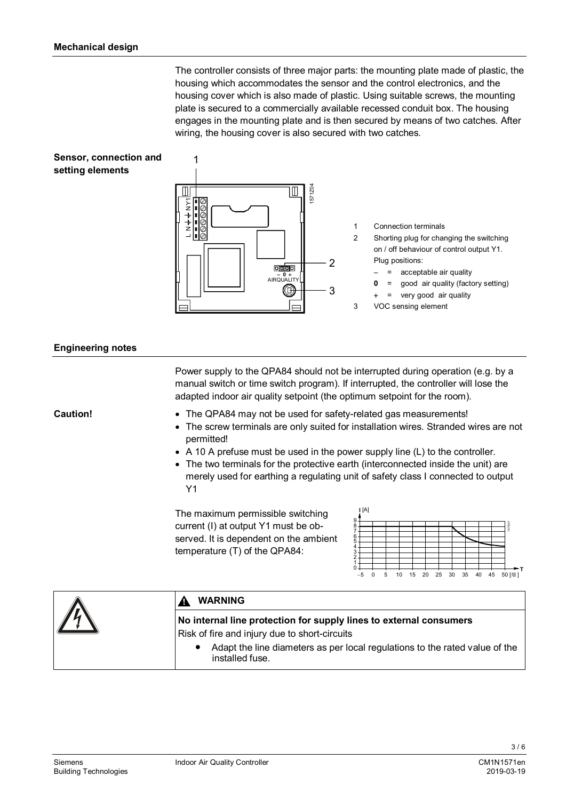The controller consists of three major parts: the mounting plate made of plastic, the housing which accommodates the sensor and the control electronics, and the housing cover which is also made of plastic. Using suitable screws, the mounting plate is secured to a commercially available recessed conduit box. The housing engages in the mounting plate and is then secured by means of two catches. After wiring, the housing cover is also secured with two catches.





 $\mathbf 1$ 

- 1 Connection terminals
- 2 Shorting plug for changing the switching on / off behaviour of control output Y1. Plug positions:
	- = acceptable air quality
	- **0** = good air quality (factory setting)
	- + = very good air quality
- 3 VOC sensing element

#### **Engineering notes**

|          | Power supply to the QPA84 should not be interrupted during operation (e.g. by a<br>manual switch or time switch program). If interrupted, the controller will lose the<br>adapted indoor air quality setpoint (the optimum setpoint for the room).                                                                                                                                                                                                                                                                                                                                                                                                                         |  |  |
|----------|----------------------------------------------------------------------------------------------------------------------------------------------------------------------------------------------------------------------------------------------------------------------------------------------------------------------------------------------------------------------------------------------------------------------------------------------------------------------------------------------------------------------------------------------------------------------------------------------------------------------------------------------------------------------------|--|--|
| Caution! | • The QPA84 may not be used for safety-related gas measurements!<br>The screw terminals are only suited for installation wires. Stranded wires are not<br>permitted!<br>• A 10 A prefuse must be used in the power supply line $(L)$ to the controller.<br>• The two terminals for the protective earth (interconnected inside the unit) are<br>merely used for earthing a regulating unit of safety class I connected to output<br>Y1<br> A <br>The maximum permissible switching<br>current (I) at output Y1 must be ob-<br>served. It is dependent on the ambient<br>temperature (T) of the QPA84:<br>20<br>5<br>15<br>25<br>30<br>35<br>40<br>45<br>10<br>50 [療]<br>-5 |  |  |
|          | <b>WARNING</b>                                                                                                                                                                                                                                                                                                                                                                                                                                                                                                                                                                                                                                                             |  |  |
|          | No internal line protection for supply lines to external consumers<br>Risk of fire and injury due to short-circuits                                                                                                                                                                                                                                                                                                                                                                                                                                                                                                                                                        |  |  |

Adapt the line diameters as per local regulations to the rated value of the installed fuse.

 $3/6$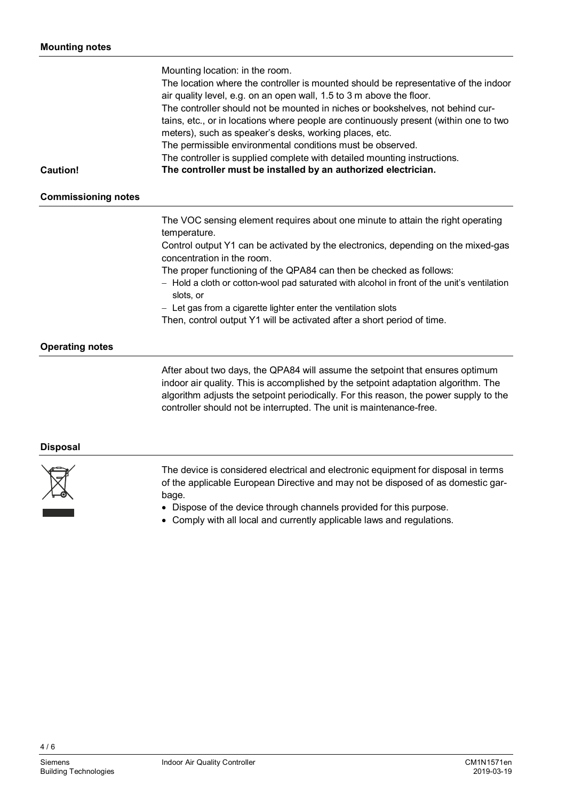|                            | Mounting location: in the room.                                                                                                                             |
|----------------------------|-------------------------------------------------------------------------------------------------------------------------------------------------------------|
|                            | The location where the controller is mounted should be representative of the indoor<br>air quality level, e.g. on an open wall, 1.5 to 3 m above the floor. |
|                            | The controller should not be mounted in niches or bookshelves, not behind cur-                                                                              |
|                            | tains, etc., or in locations where people are continuously present (within one to two<br>meters), such as speaker's desks, working places, etc.             |
|                            | The permissible environmental conditions must be observed.                                                                                                  |
|                            | The controller is supplied complete with detailed mounting instructions.                                                                                    |
| Caution!                   | The controller must be installed by an authorized electrician.                                                                                              |
| <b>Commissioning notes</b> |                                                                                                                                                             |
|                            |                                                                                                                                                             |

The VOC sensing element requires about one minute to attain the right operating temperature.

Control output Y1 can be activated by the electronics, depending on the mixed-gas concentration in the room.

The proper functioning of the QPA84 can then be checked as follows:

- Hold a cloth or cotton-wool pad saturated with alcohol in front of the unit's ventilation slots, or

- Let gas from a cigarette lighter enter the ventilation slots

Then, control output Y1 will be activated after a short period of time.

## **Operating notes**

After about two days, the QPA84 will assume the setpoint that ensures optimum indoor air quality. This is accomplished by the setpoint adaptation algorithm. The algorithm adjusts the setpoint periodically. For this reason, the power supply to the controller should not be interrupted. The unit is maintenance-free.

#### **Disposal**



The device is considered electrical and electronic equipment for disposal in terms of the applicable European Directive and may not be disposed of as domestic garbage.

- · Dispose of the device through channels provided for this purpose.
- · Comply with all local and currently applicable laws and regulations.

4 / 6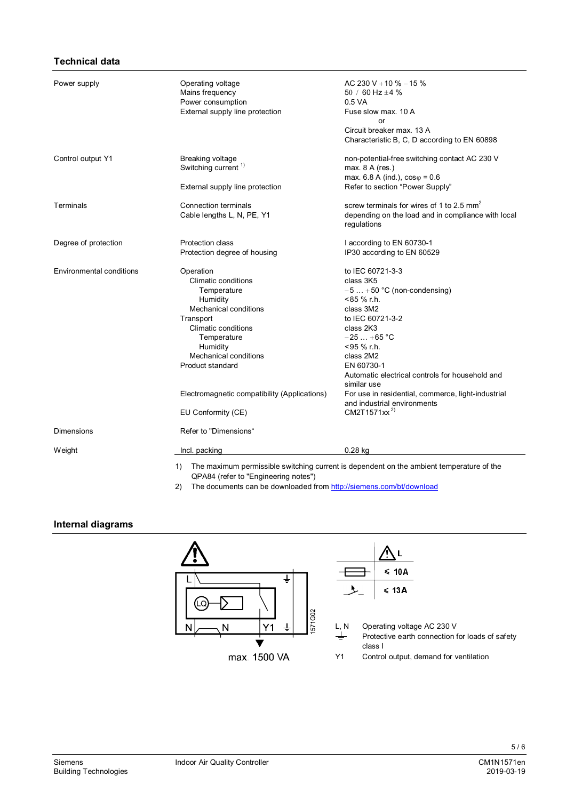### **Technical data**

| Power supply                    | Operating voltage<br>Mains frequency<br>Power consumption<br>External supply line protection                                                                                                                                                                                         | AC 230 V + 10 % $-15$ %<br>50 / 60 Hz $\pm$ 4 %<br>0.5 VA<br>Fuse slow max. 10 A<br>or<br>Circuit breaker max. 13 A<br>Characteristic B, C, D according to EN 60898                                                                                                                                                                                                     |
|---------------------------------|--------------------------------------------------------------------------------------------------------------------------------------------------------------------------------------------------------------------------------------------------------------------------------------|-------------------------------------------------------------------------------------------------------------------------------------------------------------------------------------------------------------------------------------------------------------------------------------------------------------------------------------------------------------------------|
| Control output Y1               | <b>Breaking voltage</b><br>Switching current <sup>1)</sup>                                                                                                                                                                                                                           | non-potential-free switching contact AC 230 V<br>max. $8$ A (res.)<br>max. 6.8 A (ind.), $cos\varphi = 0.6$                                                                                                                                                                                                                                                             |
|                                 | External supply line protection                                                                                                                                                                                                                                                      | Refer to section "Power Supply"                                                                                                                                                                                                                                                                                                                                         |
| Terminals                       | <b>Connection terminals</b><br>Cable lengths L, N, PE, Y1                                                                                                                                                                                                                            | screw terminals for wires of 1 to 2.5 mm <sup>2</sup><br>depending on the load and in compliance with local<br>regulations                                                                                                                                                                                                                                              |
| Degree of protection            | <b>Protection class</b><br>Protection degree of housing                                                                                                                                                                                                                              | I according to EN 60730-1<br>IP30 according to EN 60529                                                                                                                                                                                                                                                                                                                 |
| <b>Environmental conditions</b> | Operation<br>Climatic conditions<br>Temperature<br>Humidity<br>Mechanical conditions<br>Transport<br><b>Climatic conditions</b><br>Temperature<br>Humidity<br><b>Mechanical conditions</b><br>Product standard<br>Electromagnetic compatibility (Applications)<br>EU Conformity (CE) | to IEC 60721-3-3<br>class 3K5<br>$-5+50$ °C (non-condensing)<br>$< 85 \%$ r.h.<br>class 3M2<br>to IEC 60721-3-2<br>class 2K3<br>$-25+65$ °C<br><95 % r.h.<br>class 2M2<br>EN 60730-1<br>Automatic electrical controls for household and<br>similar use<br>For use in residential, commerce, light-industrial<br>and industrial environments<br>CM2T1571xx <sup>2)</sup> |
| Dimensions                      | Refer to "Dimensions"                                                                                                                                                                                                                                                                |                                                                                                                                                                                                                                                                                                                                                                         |
| Weight                          | Incl. packing                                                                                                                                                                                                                                                                        | $0.28$ kg                                                                                                                                                                                                                                                                                                                                                               |
|                                 | 1)<br>QPA84 (refer to "Engineering notes")                                                                                                                                                                                                                                           | The maximum permissible switching current is dependent on the ambient temperature of the                                                                                                                                                                                                                                                                                |

2) The documents can be downloaded from <http://siemens.com/bt/download>

#### **Internal diagrams**